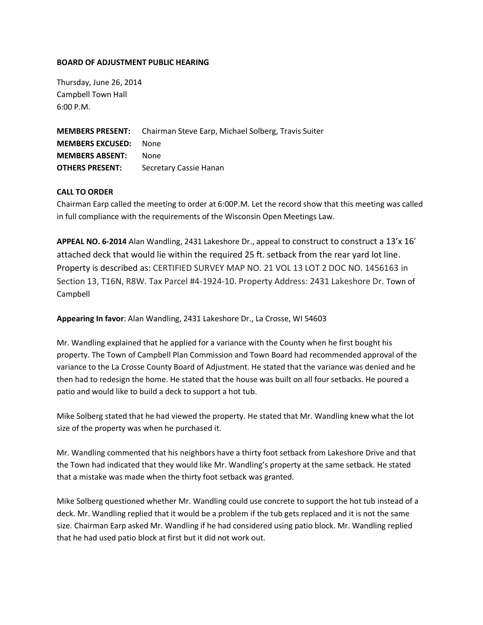## **BOARD OF ADJUSTMENT PUBLIC HEARING**

Thursday, June 26, 2014 Campbell Town Hall 6:00 P.M.

**MEMBERS PRESENT:** Chairman Steve Earp, Michael Solberg, Travis Suiter **MEMBERS EXCUSED:** None **MEMBERS ABSENT:** None **OTHERS PRESENT:** Secretary Cassie Hanan

## **CALL TO ORDER**

Chairman Earp called the meeting to order at 6:00P.M. Let the record show that this meeting was called in full compliance with the requirements of the Wisconsin Open Meetings Law.

**APPEAL NO. 6-2014** Alan Wandling, 2431 Lakeshore Dr., appeal to construct to construct a 13'x 16' attached deck that would lie within the required 25 ft. setback from the rear yard lot line. Property is described as: CERTIFIED SURVEY MAP NO. 21 VOL 13 LOT 2 DOC NO. 1456163 in Section 13, T16N, R8W. Tax Parcel #4-1924-10. Property Address: 2431 Lakeshore Dr. Town of Campbell

**Appearing In favor**: Alan Wandling, 2431 Lakeshore Dr., La Crosse, WI 54603

Mr. Wandling explained that he applied for a variance with the County when he first bought his property. The Town of Campbell Plan Commission and Town Board had recommended approval of the variance to the La Crosse County Board of Adjustment. He stated that the variance was denied and he then had to redesign the home. He stated that the house was built on all four setbacks. He poured a patio and would like to build a deck to support a hot tub.

Mike Solberg stated that he had viewed the property. He stated that Mr. Wandling knew what the lot size of the property was when he purchased it.

Mr. Wandling commented that his neighbors have a thirty foot setback from Lakeshore Drive and that the Town had indicated that they would like Mr. Wandling's property at the same setback. He stated that a mistake was made when the thirty foot setback was granted.

Mike Solberg questioned whether Mr. Wandling could use concrete to support the hot tub instead of a deck. Mr. Wandling replied that it would be a problem if the tub gets replaced and it is not the same size. Chairman Earp asked Mr. Wandling if he had considered using patio block. Mr. Wandling replied that he had used patio block at first but it did not work out.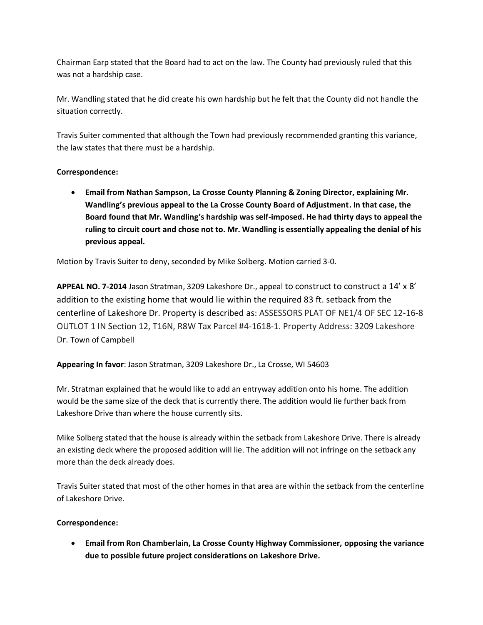Chairman Earp stated that the Board had to act on the law. The County had previously ruled that this was not a hardship case.

Mr. Wandling stated that he did create his own hardship but he felt that the County did not handle the situation correctly.

Travis Suiter commented that although the Town had previously recommended granting this variance, the law states that there must be a hardship.

## **Correspondence:**

 **Email from Nathan Sampson, La Crosse County Planning & Zoning Director, explaining Mr. Wandling's previous appeal to the La Crosse County Board of Adjustment. In that case, the Board found that Mr. Wandling's hardship was self-imposed. He had thirty days to appeal the ruling to circuit court and chose not to. Mr. Wandling is essentially appealing the denial of his previous appeal.** 

Motion by Travis Suiter to deny, seconded by Mike Solberg. Motion carried 3-0.

**APPEAL NO. 7-2014** Jason Stratman, 3209 Lakeshore Dr., appeal to construct to construct a 14' x 8' addition to the existing home that would lie within the required 83 ft. setback from the centerline of Lakeshore Dr. Property is described as: ASSESSORS PLAT OF NE1/4 OF SEC 12-16-8 OUTLOT 1 IN Section 12, T16N, R8W Tax Parcel #4-1618-1. Property Address: 3209 Lakeshore Dr. Town of Campbell

**Appearing In favor**: Jason Stratman, 3209 Lakeshore Dr., La Crosse, WI 54603

Mr. Stratman explained that he would like to add an entryway addition onto his home. The addition would be the same size of the deck that is currently there. The addition would lie further back from Lakeshore Drive than where the house currently sits.

Mike Solberg stated that the house is already within the setback from Lakeshore Drive. There is already an existing deck where the proposed addition will lie. The addition will not infringe on the setback any more than the deck already does.

Travis Suiter stated that most of the other homes in that area are within the setback from the centerline of Lakeshore Drive.

## **Correspondence:**

 **Email from Ron Chamberlain, La Crosse County Highway Commissioner, opposing the variance due to possible future project considerations on Lakeshore Drive.**